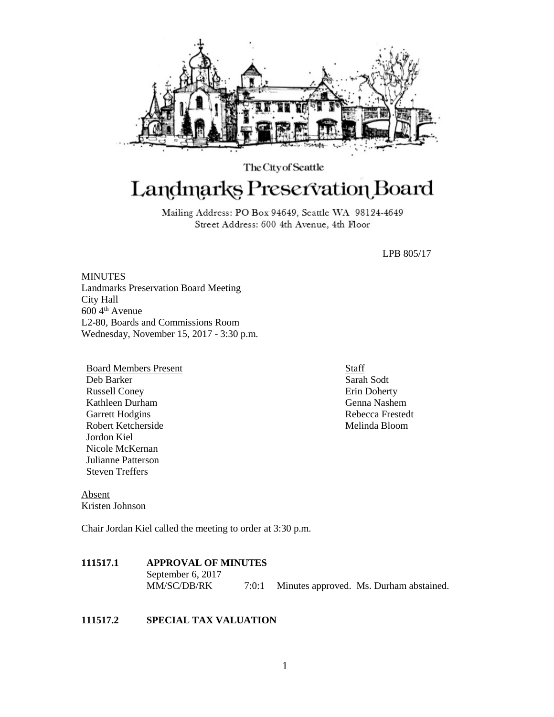

The City of Seattle Landmarks Preservation Board

> Mailing Address: PO Box 94649, Seattle WA 98124-4649 Street Address: 600 4th Avenue, 4th Floor

> > LPB 805/17

**MINUTES** Landmarks Preservation Board Meeting City Hall 600 4th Avenue L2-80, Boards and Commissions Room Wednesday, November 15, 2017 - 3:30 p.m.

Board Members Present Deb Barker Russell Coney Kathleen Durham Garrett Hodgins Robert Ketcherside Jordon Kiel Nicole McKernan Julianne Patterson Steven Treffers

Absent Kristen Johnson

Chair Jordan Kiel called the meeting to order at 3:30 p.m.

# **111517.1 APPROVAL OF MINUTES**

September 6, 2017 MM/SC/DB/RK 7:0:1 Minutes approved. Ms. Durham abstained.

## **111517.2 SPECIAL TAX VALUATION**

Staff Sarah Sodt Erin Doherty Genna Nashem Rebecca Frestedt Melinda Bloom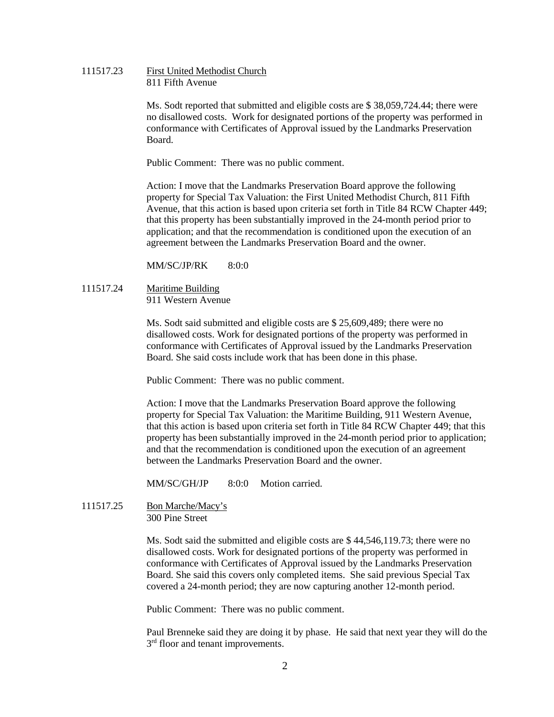111517.23 First United Methodist Church 811 Fifth Avenue

> Ms. Sodt reported that submitted and eligible costs are \$ 38,059,724.44; there were no disallowed costs. Work for designated portions of the property was performed in conformance with Certificates of Approval issued by the Landmarks Preservation Board.

Public Comment: There was no public comment.

Action: I move that the Landmarks Preservation Board approve the following property for Special Tax Valuation: the First United Methodist Church, 811 Fifth Avenue, that this action is based upon criteria set forth in Title 84 RCW Chapter 449; that this property has been substantially improved in the 24-month period prior to application; and that the recommendation is conditioned upon the execution of an agreement between the Landmarks Preservation Board and the owner.

 $MM/SC/IP/RK$  8:0:0

111517.24 Maritime Building 911 Western Avenue

> Ms. Sodt said submitted and eligible costs are \$ 25,609,489; there were no disallowed costs. Work for designated portions of the property was performed in conformance with Certificates of Approval issued by the Landmarks Preservation Board. She said costs include work that has been done in this phase.

Public Comment: There was no public comment.

Action: I move that the Landmarks Preservation Board approve the following property for Special Tax Valuation: the Maritime Building, 911 Western Avenue, that this action is based upon criteria set forth in Title 84 RCW Chapter 449; that this property has been substantially improved in the 24-month period prior to application; and that the recommendation is conditioned upon the execution of an agreement between the Landmarks Preservation Board and the owner.

MM/SC/GH/JP 8:0:0 Motion carried.

111517.25 Bon Marche/Macy's 300 Pine Street

> Ms. Sodt said the submitted and eligible costs are \$ 44,546,119.73; there were no disallowed costs. Work for designated portions of the property was performed in conformance with Certificates of Approval issued by the Landmarks Preservation Board. She said this covers only completed items. She said previous Special Tax covered a 24-month period; they are now capturing another 12-month period.

Public Comment: There was no public comment.

Paul Brenneke said they are doing it by phase. He said that next year they will do the 3<sup>rd</sup> floor and tenant improvements.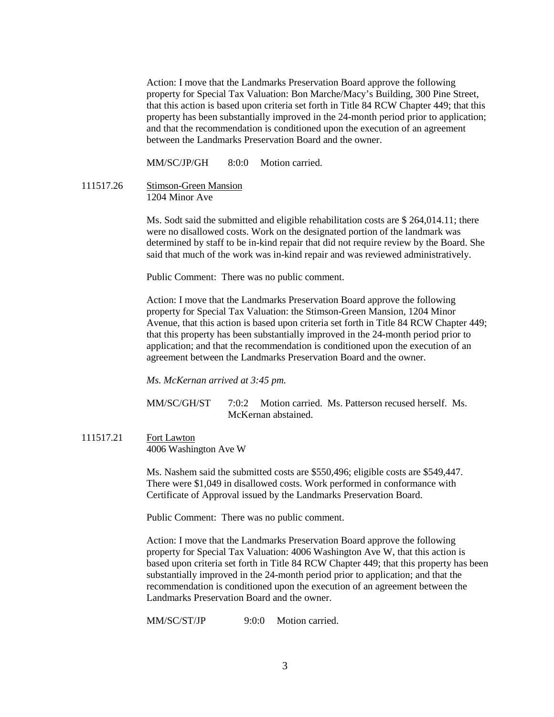Action: I move that the Landmarks Preservation Board approve the following property for Special Tax Valuation: Bon Marche/Macy's Building, 300 Pine Street, that this action is based upon criteria set forth in Title 84 RCW Chapter 449; that this property has been substantially improved in the 24-month period prior to application; and that the recommendation is conditioned upon the execution of an agreement between the Landmarks Preservation Board and the owner.

MM/SC/JP/GH 8:0:0 Motion carried

111517.26 Stimson-Green Mansion 1204 Minor Ave

> Ms. Sodt said the submitted and eligible rehabilitation costs are \$ 264,014.11; there were no disallowed costs. Work on the designated portion of the landmark was determined by staff to be in-kind repair that did not require review by the Board. She said that much of the work was in-kind repair and was reviewed administratively.

Public Comment: There was no public comment.

Action: I move that the Landmarks Preservation Board approve the following property for Special Tax Valuation: the Stimson-Green Mansion, 1204 Minor Avenue, that this action is based upon criteria set forth in Title 84 RCW Chapter 449; that this property has been substantially improved in the 24-month period prior to application; and that the recommendation is conditioned upon the execution of an agreement between the Landmarks Preservation Board and the owner.

*Ms. McKernan arrived at 3:45 pm.*

MM/SC/GH/ST 7:0:2 Motion carried. Ms. Patterson recused herself. Ms. McKernan abstained.

111517.21 Fort Lawton

4006 Washington Ave W

Ms. Nashem said the submitted costs are \$550,496; eligible costs are \$549,447. There were \$1,049 in disallowed costs. Work performed in conformance with Certificate of Approval issued by the Landmarks Preservation Board.

Public Comment: There was no public comment.

Action: I move that the Landmarks Preservation Board approve the following property for Special Tax Valuation: 4006 Washington Ave W, that this action is based upon criteria set forth in Title 84 RCW Chapter 449; that this property has been substantially improved in the 24-month period prior to application; and that the recommendation is conditioned upon the execution of an agreement between the Landmarks Preservation Board and the owner.

MM/SC/ST/JP 9:0:0 Motion carried.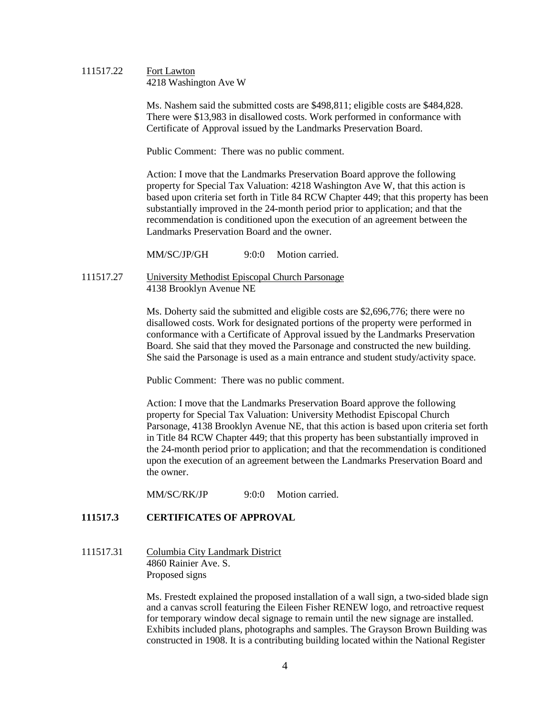### 111517.22 Fort Lawton 4218 Washington Ave W

Ms. Nashem said the submitted costs are \$498,811; eligible costs are \$484,828. There were \$13,983 in disallowed costs. Work performed in conformance with Certificate of Approval issued by the Landmarks Preservation Board.

Public Comment: There was no public comment.

Action: I move that the Landmarks Preservation Board approve the following property for Special Tax Valuation: 4218 Washington Ave W, that this action is based upon criteria set forth in Title 84 RCW Chapter 449; that this property has been substantially improved in the 24-month period prior to application; and that the recommendation is conditioned upon the execution of an agreement between the Landmarks Preservation Board and the owner.

MM/SC/JP/GH 9:0:0 Motion carried.

111517.27 University Methodist Episcopal Church Parsonage 4138 Brooklyn Avenue NE

> Ms. Doherty said the submitted and eligible costs are \$2,696,776; there were no disallowed costs. Work for designated portions of the property were performed in conformance with a Certificate of Approval issued by the Landmarks Preservation Board. She said that they moved the Parsonage and constructed the new building. She said the Parsonage is used as a main entrance and student study/activity space.

Public Comment: There was no public comment.

Action: I move that the Landmarks Preservation Board approve the following property for Special Tax Valuation: University Methodist Episcopal Church Parsonage, 4138 Brooklyn Avenue NE, that this action is based upon criteria set forth in Title 84 RCW Chapter 449; that this property has been substantially improved in the 24-month period prior to application; and that the recommendation is conditioned upon the execution of an agreement between the Landmarks Preservation Board and the owner.

MM/SC/RK/JP 9:0:0 Motion carried.

# **111517.3 CERTIFICATES OF APPROVAL**

111517.31 Columbia City Landmark District 4860 Rainier Ave. S. Proposed signs

> Ms. Frestedt explained the proposed installation of a wall sign, a two-sided blade sign and a canvas scroll featuring the Eileen Fisher RENEW logo, and retroactive request for temporary window decal signage to remain until the new signage are installed. Exhibits included plans, photographs and samples. The Grayson Brown Building was constructed in 1908. It is a contributing building located within the National Register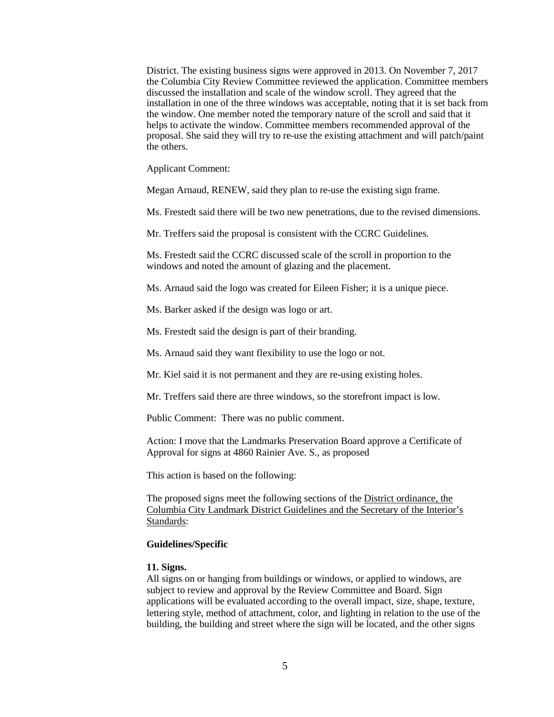District. The existing business signs were approved in 2013. On November 7, 2017 the Columbia City Review Committee reviewed the application. Committee members discussed the installation and scale of the window scroll. They agreed that the installation in one of the three windows was acceptable, noting that it is set back from the window. One member noted the temporary nature of the scroll and said that it helps to activate the window. Committee members recommended approval of the proposal. She said they will try to re-use the existing attachment and will patch/paint the others.

Applicant Comment:

Megan Arnaud, RENEW, said they plan to re-use the existing sign frame.

Ms. Frestedt said there will be two new penetrations, due to the revised dimensions.

Mr. Treffers said the proposal is consistent with the CCRC Guidelines.

Ms. Frestedt said the CCRC discussed scale of the scroll in proportion to the windows and noted the amount of glazing and the placement.

Ms. Arnaud said the logo was created for Eileen Fisher; it is a unique piece.

Ms. Barker asked if the design was logo or art.

Ms. Frestedt said the design is part of their branding.

Ms. Arnaud said they want flexibility to use the logo or not.

Mr. Kiel said it is not permanent and they are re-using existing holes.

Mr. Treffers said there are three windows, so the storefront impact is low.

Public Comment: There was no public comment.

Action: I move that the Landmarks Preservation Board approve a Certificate of Approval for signs at 4860 Rainier Ave. S., as proposed

This action is based on the following:

The proposed signs meet the following sections of the District ordinance, the Columbia City Landmark District Guidelines and the Secretary of the Interior's Standards:

### **Guidelines/Specific**

### **11. Signs.**

All signs on or hanging from buildings or windows, or applied to windows, are subject to review and approval by the Review Committee and Board. Sign applications will be evaluated according to the overall impact, size, shape, texture, lettering style, method of attachment, color, and lighting in relation to the use of the building, the building and street where the sign will be located, and the other signs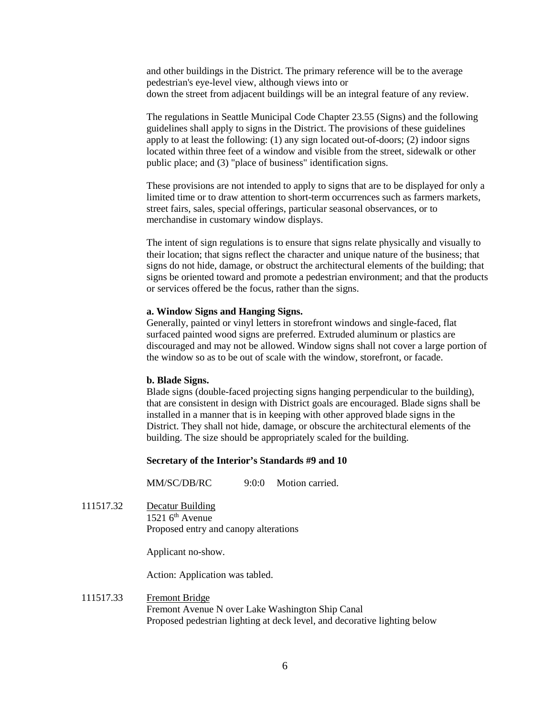and other buildings in the District. The primary reference will be to the average pedestrian's eye-level view, although views into or down the street from adjacent buildings will be an integral feature of any review.

The regulations in Seattle Municipal Code Chapter 23.55 (Signs) and the following guidelines shall apply to signs in the District. The provisions of these guidelines apply to at least the following: (1) any sign located out-of-doors; (2) indoor signs located within three feet of a window and visible from the street, sidewalk or other public place; and (3) "place of business" identification signs.

These provisions are not intended to apply to signs that are to be displayed for only a limited time or to draw attention to short-term occurrences such as farmers markets, street fairs, sales, special offerings, particular seasonal observances, or to merchandise in customary window displays.

The intent of sign regulations is to ensure that signs relate physically and visually to their location; that signs reflect the character and unique nature of the business; that signs do not hide, damage, or obstruct the architectural elements of the building; that signs be oriented toward and promote a pedestrian environment; and that the products or services offered be the focus, rather than the signs.

### **a. Window Signs and Hanging Signs.**

Generally, painted or vinyl letters in storefront windows and single-faced, flat surfaced painted wood signs are preferred. Extruded aluminum or plastics are discouraged and may not be allowed. Window signs shall not cover a large portion of the window so as to be out of scale with the window, storefront, or facade.

### **b. Blade Signs.**

Blade signs (double-faced projecting signs hanging perpendicular to the building), that are consistent in design with District goals are encouraged. Blade signs shall be installed in a manner that is in keeping with other approved blade signs in the District. They shall not hide, damage, or obscure the architectural elements of the building. The size should be appropriately scaled for the building.

### **Secretary of the Interior's Standards #9 and 10**

MM/SC/DB/RC 9:0:0 Motion carried.

111517.32 Decatur Building 1521  $6<sup>th</sup>$  Avenue Proposed entry and canopy alterations

Applicant no-show.

Action: Application was tabled.

## 111517.33 Fremont Bridge Fremont Avenue N over Lake Washington Ship Canal Proposed pedestrian lighting at deck level, and decorative lighting below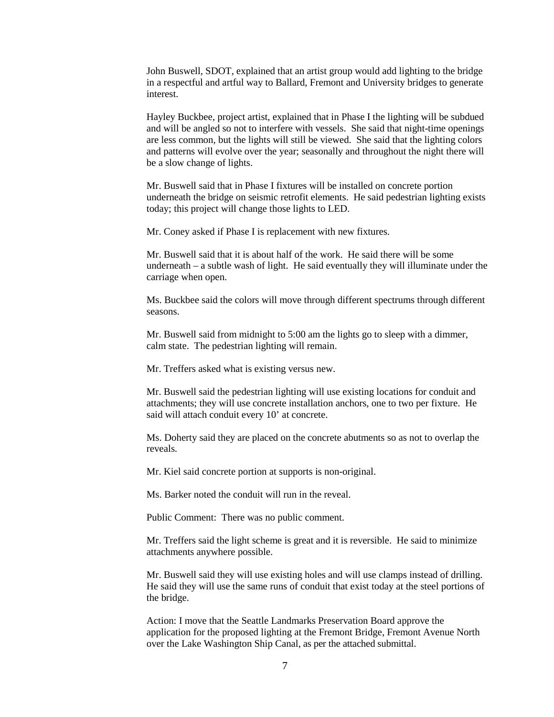John Buswell, SDOT, explained that an artist group would add lighting to the bridge in a respectful and artful way to Ballard, Fremont and University bridges to generate interest.

Hayley Buckbee, project artist, explained that in Phase I the lighting will be subdued and will be angled so not to interfere with vessels. She said that night-time openings are less common, but the lights will still be viewed. She said that the lighting colors and patterns will evolve over the year; seasonally and throughout the night there will be a slow change of lights.

Mr. Buswell said that in Phase I fixtures will be installed on concrete portion underneath the bridge on seismic retrofit elements. He said pedestrian lighting exists today; this project will change those lights to LED.

Mr. Coney asked if Phase I is replacement with new fixtures.

Mr. Buswell said that it is about half of the work. He said there will be some underneath – a subtle wash of light. He said eventually they will illuminate under the carriage when open.

Ms. Buckbee said the colors will move through different spectrums through different seasons.

Mr. Buswell said from midnight to 5:00 am the lights go to sleep with a dimmer, calm state. The pedestrian lighting will remain.

Mr. Treffers asked what is existing versus new.

Mr. Buswell said the pedestrian lighting will use existing locations for conduit and attachments; they will use concrete installation anchors, one to two per fixture. He said will attach conduit every 10' at concrete.

Ms. Doherty said they are placed on the concrete abutments so as not to overlap the reveals.

Mr. Kiel said concrete portion at supports is non-original.

Ms. Barker noted the conduit will run in the reveal.

Public Comment: There was no public comment.

Mr. Treffers said the light scheme is great and it is reversible. He said to minimize attachments anywhere possible.

Mr. Buswell said they will use existing holes and will use clamps instead of drilling. He said they will use the same runs of conduit that exist today at the steel portions of the bridge.

Action: I move that the Seattle Landmarks Preservation Board approve the application for the proposed lighting at the Fremont Bridge, Fremont Avenue North over the Lake Washington Ship Canal, as per the attached submittal.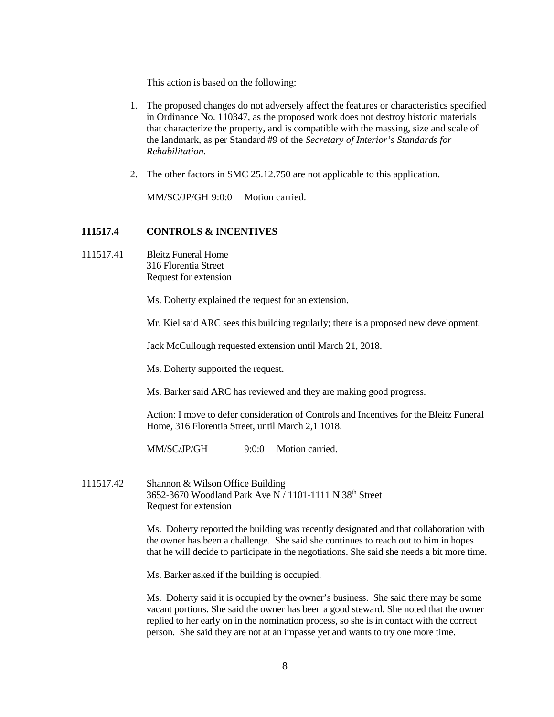This action is based on the following:

- 1. The proposed changes do not adversely affect the features or characteristics specified in Ordinance No. 110347, as the proposed work does not destroy historic materials that characterize the property, and is compatible with the massing, size and scale of the landmark, as per Standard #9 of the *Secretary of Interior's Standards for Rehabilitation.*
- 2. The other factors in SMC 25.12.750 are not applicable to this application.

MM/SC/JP/GH 9:0:0 Motion carried.

### **111517.4 CONTROLS & INCENTIVES**

111517.41 Bleitz Funeral Home 316 Florentia Street Request for extension

Ms. Doherty explained the request for an extension.

Mr. Kiel said ARC sees this building regularly; there is a proposed new development.

Jack McCullough requested extension until March 21, 2018.

Ms. Doherty supported the request.

Ms. Barker said ARC has reviewed and they are making good progress.

Action: I move to defer consideration of Controls and Incentives for the Bleitz Funeral Home, 316 Florentia Street, until March 2,1 1018.

MM/SC/JP/GH 9:0:0 Motion carried.

111517.42 Shannon & Wilson Office Building 3652-3670 Woodland Park Ave N / 1101-1111 N 38th Street Request for extension

> Ms. Doherty reported the building was recently designated and that collaboration with the owner has been a challenge. She said she continues to reach out to him in hopes that he will decide to participate in the negotiations. She said she needs a bit more time.

Ms. Barker asked if the building is occupied.

Ms. Doherty said it is occupied by the owner's business. She said there may be some vacant portions. She said the owner has been a good steward. She noted that the owner replied to her early on in the nomination process, so she is in contact with the correct person. She said they are not at an impasse yet and wants to try one more time.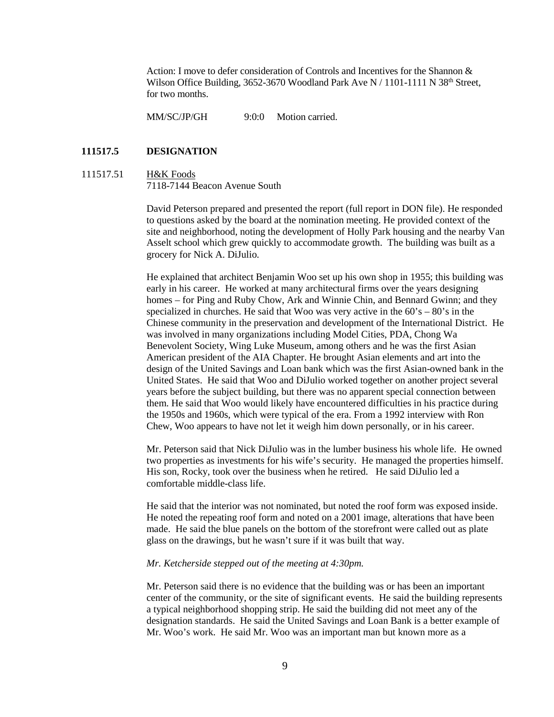Action: I move to defer consideration of Controls and Incentives for the Shannon & Wilson Office Building, 3652-3670 Woodland Park Ave N / 1101-1111 N 38<sup>th</sup> Street, for two months.

MM/SC/JP/GH 9:0:0 Motion carried.

### **111517.5 DESIGNATION**

#### 111517.51 H&K Foods 7118-7144 Beacon Avenue South

David Peterson prepared and presented the report (full report in DON file). He responded to questions asked by the board at the nomination meeting. He provided context of the site and neighborhood, noting the development of Holly Park housing and the nearby Van Asselt school which grew quickly to accommodate growth. The building was built as a grocery for Nick A. DiJulio.

He explained that architect Benjamin Woo set up his own shop in 1955; this building was early in his career. He worked at many architectural firms over the years designing homes – for Ping and Ruby Chow, Ark and Winnie Chin, and Bennard Gwinn; and they specialized in churches. He said that Woo was very active in the  $60's - 80's$  in the Chinese community in the preservation and development of the International District. He was involved in many organizations including Model Cities, PDA, Chong Wa Benevolent Society, Wing Luke Museum, among others and he was the first Asian American president of the AIA Chapter. He brought Asian elements and art into the design of the United Savings and Loan bank which was the first Asian-owned bank in the United States. He said that Woo and DiJulio worked together on another project several years before the subject building, but there was no apparent special connection between them. He said that Woo would likely have encountered difficulties in his practice during the 1950s and 1960s, which were typical of the era. From a 1992 interview with Ron Chew, Woo appears to have not let it weigh him down personally, or in his career.

Mr. Peterson said that Nick DiJulio was in the lumber business his whole life. He owned two properties as investments for his wife's security. He managed the properties himself. His son, Rocky, took over the business when he retired. He said DiJulio led a comfortable middle-class life.

He said that the interior was not nominated, but noted the roof form was exposed inside. He noted the repeating roof form and noted on a 2001 image, alterations that have been made. He said the blue panels on the bottom of the storefront were called out as plate glass on the drawings, but he wasn't sure if it was built that way.

### *Mr. Ketcherside stepped out of the meeting at 4:30pm.*

Mr. Peterson said there is no evidence that the building was or has been an important center of the community, or the site of significant events. He said the building represents a typical neighborhood shopping strip. He said the building did not meet any of the designation standards. He said the United Savings and Loan Bank is a better example of Mr. Woo's work. He said Mr. Woo was an important man but known more as a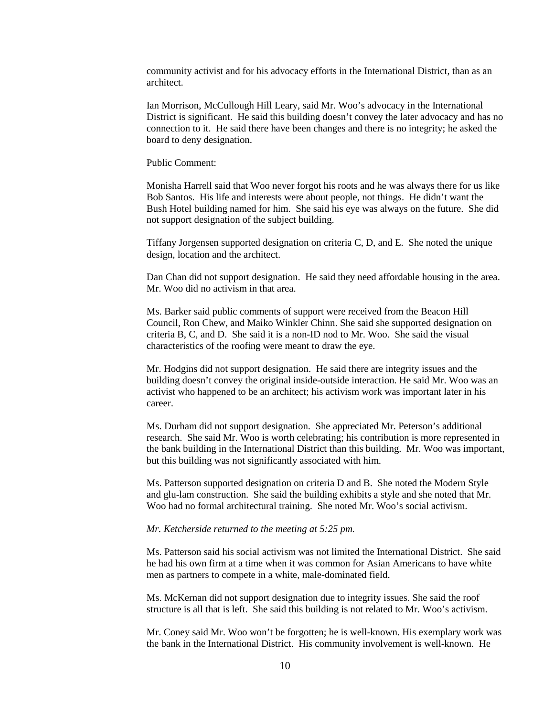community activist and for his advocacy efforts in the International District, than as an architect.

Ian Morrison, McCullough Hill Leary, said Mr. Woo's advocacy in the International District is significant. He said this building doesn't convey the later advocacy and has no connection to it. He said there have been changes and there is no integrity; he asked the board to deny designation.

Public Comment:

Monisha Harrell said that Woo never forgot his roots and he was always there for us like Bob Santos. His life and interests were about people, not things. He didn't want the Bush Hotel building named for him. She said his eye was always on the future. She did not support designation of the subject building.

Tiffany Jorgensen supported designation on criteria C, D, and E. She noted the unique design, location and the architect.

Dan Chan did not support designation. He said they need affordable housing in the area. Mr. Woo did no activism in that area.

Ms. Barker said public comments of support were received from the Beacon Hill Council, Ron Chew, and Maiko Winkler Chinn. She said she supported designation on criteria B, C, and D. She said it is a non-ID nod to Mr. Woo. She said the visual characteristics of the roofing were meant to draw the eye.

Mr. Hodgins did not support designation. He said there are integrity issues and the building doesn't convey the original inside-outside interaction. He said Mr. Woo was an activist who happened to be an architect; his activism work was important later in his career.

Ms. Durham did not support designation. She appreciated Mr. Peterson's additional research. She said Mr. Woo is worth celebrating; his contribution is more represented in the bank building in the International District than this building. Mr. Woo was important, but this building was not significantly associated with him.

Ms. Patterson supported designation on criteria D and B. She noted the Modern Style and glu-lam construction. She said the building exhibits a style and she noted that Mr. Woo had no formal architectural training. She noted Mr. Woo's social activism.

### *Mr. Ketcherside returned to the meeting at 5:25 pm.*

Ms. Patterson said his social activism was not limited the International District. She said he had his own firm at a time when it was common for Asian Americans to have white men as partners to compete in a white, male-dominated field.

Ms. McKernan did not support designation due to integrity issues. She said the roof structure is all that is left. She said this building is not related to Mr. Woo's activism.

Mr. Coney said Mr. Woo won't be forgotten; he is well-known. His exemplary work was the bank in the International District. His community involvement is well-known. He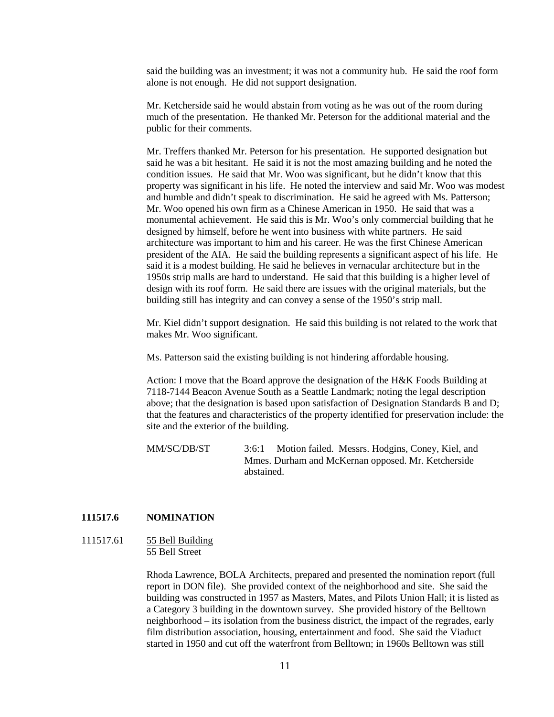said the building was an investment; it was not a community hub. He said the roof form alone is not enough. He did not support designation.

Mr. Ketcherside said he would abstain from voting as he was out of the room during much of the presentation. He thanked Mr. Peterson for the additional material and the public for their comments.

Mr. Treffers thanked Mr. Peterson for his presentation. He supported designation but said he was a bit hesitant. He said it is not the most amazing building and he noted the condition issues. He said that Mr. Woo was significant, but he didn't know that this property was significant in his life. He noted the interview and said Mr. Woo was modest and humble and didn't speak to discrimination. He said he agreed with Ms. Patterson; Mr. Woo opened his own firm as a Chinese American in 1950. He said that was a monumental achievement. He said this is Mr. Woo's only commercial building that he designed by himself, before he went into business with white partners. He said architecture was important to him and his career. He was the first Chinese American president of the AIA. He said the building represents a significant aspect of his life. He said it is a modest building. He said he believes in vernacular architecture but in the 1950s strip malls are hard to understand. He said that this building is a higher level of design with its roof form. He said there are issues with the original materials, but the building still has integrity and can convey a sense of the 1950's strip mall.

Mr. Kiel didn't support designation. He said this building is not related to the work that makes Mr. Woo significant.

Ms. Patterson said the existing building is not hindering affordable housing.

Action: I move that the Board approve the designation of the H&K Foods Building at 7118-7144 Beacon Avenue South as a Seattle Landmark; noting the legal description above; that the designation is based upon satisfaction of Designation Standards B and D; that the features and characteristics of the property identified for preservation include: the site and the exterior of the building.

MM/SC/DB/ST 3:6:1 Motion failed. Messrs. Hodgins, Coney, Kiel, and Mmes. Durham and McKernan opposed. Mr. Ketcherside abstained.

## **111517.6 NOMINATION**

## 111517.61 55 Bell Building 55 Bell Street

Rhoda Lawrence, BOLA Architects, prepared and presented the nomination report (full report in DON file). She provided context of the neighborhood and site. She said the building was constructed in 1957 as Masters, Mates, and Pilots Union Hall; it is listed as a Category 3 building in the downtown survey. She provided history of the Belltown neighborhood – its isolation from the business district, the impact of the regrades, early film distribution association, housing, entertainment and food. She said the Viaduct started in 1950 and cut off the waterfront from Belltown; in 1960s Belltown was still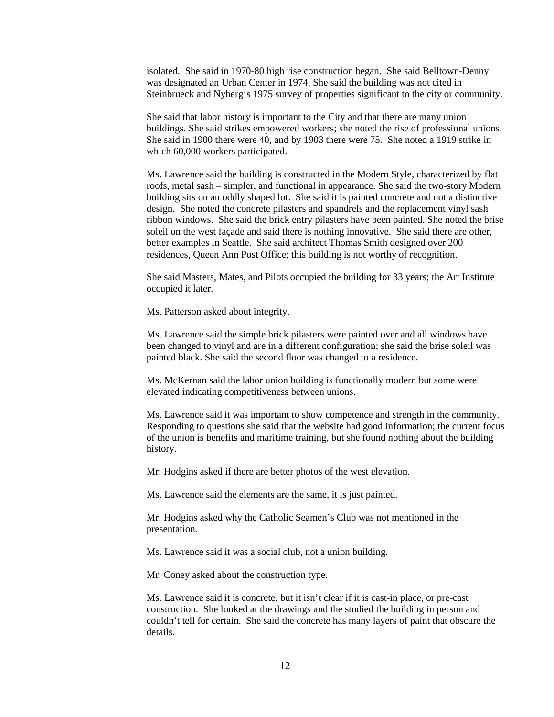isolated. She said in 1970-80 high rise construction began. She said Belltown-Denny was designated an Urban Center in 1974. She said the building was not cited in Steinbrueck and Nyberg's 1975 survey of properties significant to the city or community.

She said that labor history is important to the City and that there are many union buildings. She said strikes empowered workers; she noted the rise of professional unions. She said in 1900 there were 40, and by 1903 there were 75. She noted a 1919 strike in which 60,000 workers participated.

Ms. Lawrence said the building is constructed in the Modern Style, characterized by flat roofs, metal sash – simpler, and functional in appearance. She said the two-story Modern building sits on an oddly shaped lot. She said it is painted concrete and not a distinctive design. She noted the concrete pilasters and spandrels and the replacement vinyl sash ribbon windows. She said the brick entry pilasters have been painted. She noted the brise soleil on the west façade and said there is nothing innovative. She said there are other, better examples in Seattle. She said architect Thomas Smith designed over 200 residences, Queen Ann Post Office; this building is not worthy of recognition.

She said Masters, Mates, and Pilots occupied the building for 33 years; the Art Institute occupied it later.

Ms. Patterson asked about integrity.

Ms. Lawrence said the simple brick pilasters were painted over and all windows have been changed to vinyl and are in a different configuration; she said the brise soleil was painted black. She said the second floor was changed to a residence.

Ms. McKernan said the labor union building is functionally modern but some were elevated indicating competitiveness between unions.

Ms. Lawrence said it was important to show competence and strength in the community. Responding to questions she said that the website had good information; the current focus of the union is benefits and maritime training, but she found nothing about the building history.

Mr. Hodgins asked if there are better photos of the west elevation.

Ms. Lawrence said the elements are the same, it is just painted.

Mr. Hodgins asked why the Catholic Seamen's Club was not mentioned in the presentation.

Ms. Lawrence said it was a social club, not a union building.

Mr. Coney asked about the construction type.

Ms. Lawrence said it is concrete, but it isn't clear if it is cast-in place, or pre-cast construction. She looked at the drawings and the studied the building in person and couldn't tell for certain. She said the concrete has many layers of paint that obscure the details.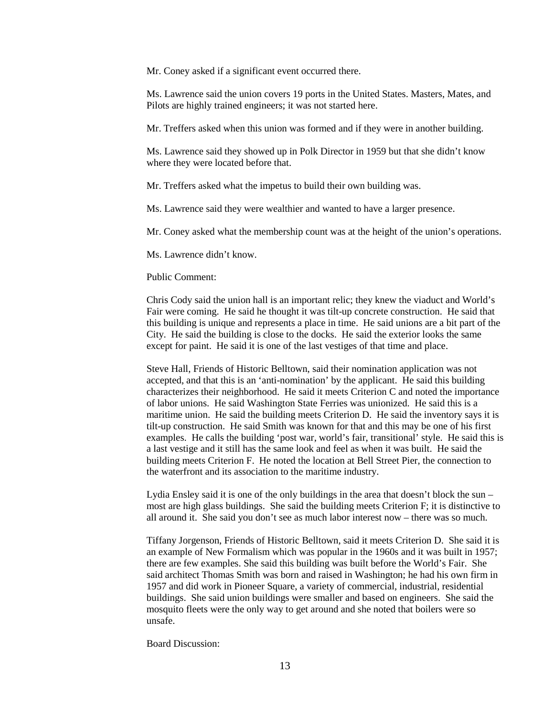Mr. Coney asked if a significant event occurred there.

Ms. Lawrence said the union covers 19 ports in the United States. Masters, Mates, and Pilots are highly trained engineers; it was not started here.

Mr. Treffers asked when this union was formed and if they were in another building.

Ms. Lawrence said they showed up in Polk Director in 1959 but that she didn't know where they were located before that.

Mr. Treffers asked what the impetus to build their own building was.

Ms. Lawrence said they were wealthier and wanted to have a larger presence.

Mr. Coney asked what the membership count was at the height of the union's operations.

Ms. Lawrence didn't know.

#### Public Comment:

Chris Cody said the union hall is an important relic; they knew the viaduct and World's Fair were coming. He said he thought it was tilt-up concrete construction. He said that this building is unique and represents a place in time. He said unions are a bit part of the City. He said the building is close to the docks. He said the exterior looks the same except for paint. He said it is one of the last vestiges of that time and place.

Steve Hall, Friends of Historic Belltown, said their nomination application was not accepted, and that this is an 'anti-nomination' by the applicant. He said this building characterizes their neighborhood. He said it meets Criterion C and noted the importance of labor unions. He said Washington State Ferries was unionized. He said this is a maritime union. He said the building meets Criterion D. He said the inventory says it is tilt-up construction. He said Smith was known for that and this may be one of his first examples. He calls the building 'post war, world's fair, transitional' style. He said this is a last vestige and it still has the same look and feel as when it was built. He said the building meets Criterion F. He noted the location at Bell Street Pier, the connection to the waterfront and its association to the maritime industry.

Lydia Ensley said it is one of the only buildings in the area that doesn't block the sun – most are high glass buildings. She said the building meets Criterion F; it is distinctive to all around it. She said you don't see as much labor interest now – there was so much.

Tiffany Jorgenson, Friends of Historic Belltown, said it meets Criterion D. She said it is an example of New Formalism which was popular in the 1960s and it was built in 1957; there are few examples. She said this building was built before the World's Fair. She said architect Thomas Smith was born and raised in Washington; he had his own firm in 1957 and did work in Pioneer Square, a variety of commercial, industrial, residential buildings. She said union buildings were smaller and based on engineers. She said the mosquito fleets were the only way to get around and she noted that boilers were so unsafe.

Board Discussion: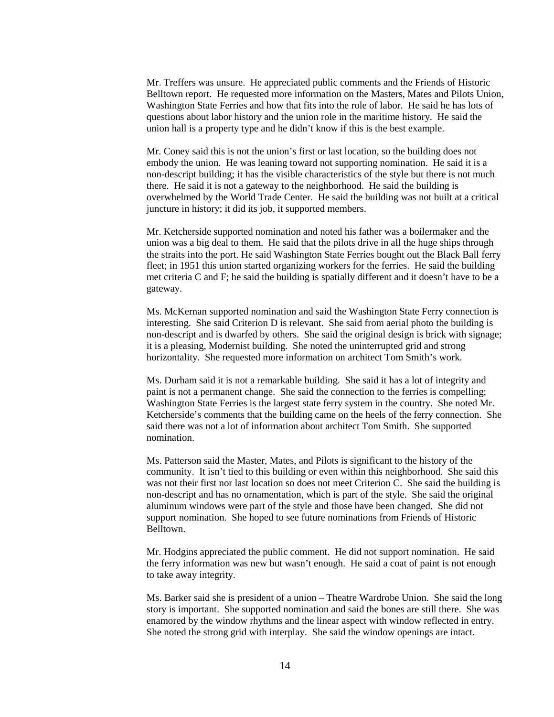Mr. Treffers was unsure. He appreciated public comments and the Friends of Historic Belltown report. He requested more information on the Masters, Mates and Pilots Union, Washington State Ferries and how that fits into the role of labor. He said he has lots of questions about labor history and the union role in the maritime history. He said the union hall is a property type and he didn't know if this is the best example.

Mr. Coney said this is not the union's first or last location, so the building does not embody the union. He was leaning toward not supporting nomination. He said it is a non-descript building; it has the visible characteristics of the style but there is not much there. He said it is not a gateway to the neighborhood. He said the building is overwhelmed by the World Trade Center. He said the building was not built at a critical juncture in history; it did its job, it supported members.

Mr. Ketcherside supported nomination and noted his father was a boilermaker and the union was a big deal to them. He said that the pilots drive in all the huge ships through the straits into the port. He said Washington State Ferries bought out the Black Ball ferry fleet; in 1951 this union started organizing workers for the ferries. He said the building met criteria C and F; he said the building is spatially different and it doesn't have to be a gateway.

Ms. McKernan supported nomination and said the Washington State Ferry connection is interesting. She said Criterion D is relevant. She said from aerial photo the building is non-descript and is dwarfed by others. She said the original design is brick with signage; it is a pleasing, Modernist building. She noted the uninterrupted grid and strong horizontality. She requested more information on architect Tom Smith's work.

Ms. Durham said it is not a remarkable building. She said it has a lot of integrity and paint is not a permanent change. She said the connection to the ferries is compelling; Washington State Ferries is the largest state ferry system in the country. She noted Mr. Ketcherside's comments that the building came on the heels of the ferry connection. She said there was not a lot of information about architect Tom Smith. She supported nomination.

Ms. Patterson said the Master, Mates, and Pilots is significant to the history of the community. It isn't tied to this building or even within this neighborhood. She said this was not their first nor last location so does not meet Criterion C. She said the building is non-descript and has no ornamentation, which is part of the style. She said the original aluminum windows were part of the style and those have been changed. She did not support nomination. She hoped to see future nominations from Friends of Historic Belltown.

Mr. Hodgins appreciated the public comment. He did not support nomination. He said the ferry information was new but wasn't enough. He said a coat of paint is not enough to take away integrity.

Ms. Barker said she is president of a union – Theatre Wardrobe Union. She said the long story is important. She supported nomination and said the bones are still there. She was enamored by the window rhythms and the linear aspect with window reflected in entry. She noted the strong grid with interplay. She said the window openings are intact.